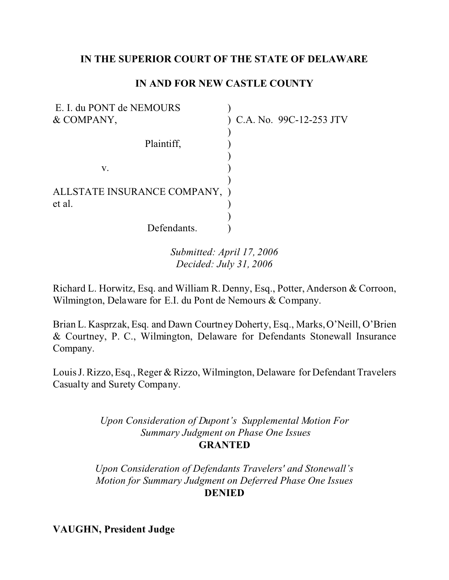# **IN THE SUPERIOR COURT OF THE STATE OF DELAWARE**

# **IN AND FOR NEW CASTLE COUNTY**

| E. I. du PONT de NEMOURS      |                           |
|-------------------------------|---------------------------|
| & COMPANY,                    | ) C.A. No. 99C-12-253 JTV |
|                               |                           |
| Plaintiff,                    |                           |
|                               |                           |
| V.                            |                           |
|                               |                           |
| ALLSTATE INSURANCE COMPANY, ) |                           |
| et al.                        |                           |
|                               |                           |
| Defendants.                   |                           |

*Submitted: April 17, 2006 Decided: July 31, 2006*

Richard L. Horwitz, Esq. and William R. Denny, Esq., Potter, Anderson & Corroon, Wilmington, Delaware for E.I. du Pont de Nemours & Company.

Brian L. Kasprzak, Esq. and Dawn Courtney Doherty, Esq., Marks, O'Neill, O'Brien & Courtney, P. C., Wilmington, Delaware for Defendants Stonewall Insurance Company.

Louis J. Rizzo, Esq., Reger & Rizzo, Wilmington, Delaware for Defendant Travelers Casualty and Surety Company.

> *Upon Consideration of Dupont's Supplemental Motion For Summary Judgment on Phase One Issues* **GRANTED**

*Upon Consideration of Defendants Travelers' and Stonewall's Motion for Summary Judgment on Deferred Phase One Issues* **DENIED**

**VAUGHN, President Judge**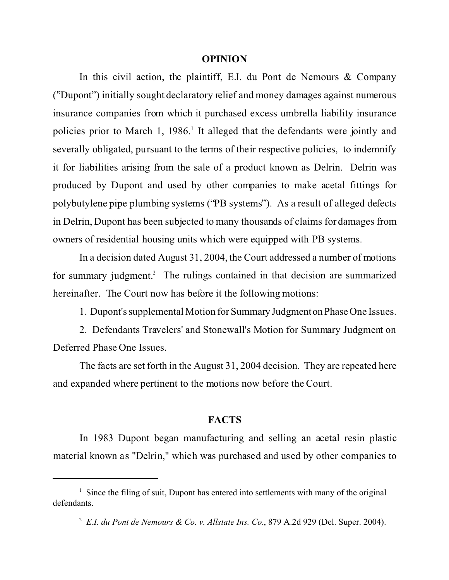#### **OPINION**

In this civil action, the plaintiff, E.I. du Pont de Nemours & Company (?Dupont") initially sought declaratory relief and money damages against numerous insurance companies from which it purchased excess umbrella liability insurance policies prior to March 1, 1986.<sup>1</sup> It alleged that the defendants were jointly and severally obligated, pursuant to the terms of their respective policies, to indemnify it for liabilities arising from the sale of a product known as Delrin. Delrin was produced by Dupont and used by other companies to make acetal fittings for polybutylene pipe plumbing systems ("PB systems"). As a result of alleged defects in Delrin, Dupont has been subjected to many thousands of claims for damages from owners of residential housing units which were equipped with PB systems.

In a decision dated August 31, 2004, the Court addressed a number of motions for summary judgment.<sup>2</sup> The rulings contained in that decision are summarized hereinafter. The Court now has before it the following motions:

1. Dupont's supplemental Motion for Summary Judgmenton Phase One Issues.

2. Defendants Travelers' and Stonewall's Motion for Summary Judgment on Deferred Phase One Issues.

The facts are set forth in the August 31, 2004 decision. They are repeated here and expanded where pertinent to the motions now before the Court.

#### **FACTS**

In 1983 Dupont began manufacturing and selling an acetal resin plastic material known as "Delrin," which was purchased and used by other companies to

<sup>&</sup>lt;sup>1</sup> Since the filing of suit, Dupont has entered into settlements with many of the original defendants.

<sup>2</sup> *E.I. du Pont de Nemours & Co. v. Allstate Ins. Co.*, 879 A.2d 929 (Del. Super. 2004).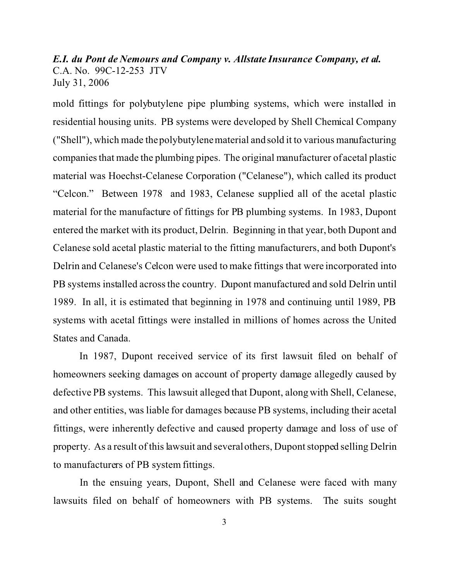mold fittings for polybutylene pipe plumbing systems, which were installed in residential housing units. PB systems were developed by Shell Chemical Company ("Shell"), which made the polybutylene material and sold it to various manufacturing companies that made the plumbing pipes. The original manufacturer of acetal plastic material was Hoechst-Celanese Corporation ("Celanese"), which called its product "Celcon." Between 1978 and 1983, Celanese supplied all of the acetal plastic material for the manufacture of fittings for PB plumbing systems. In 1983, Dupont entered the market with its product, Delrin. Beginning in that year, both Dupont and Celanese sold acetal plastic material to the fitting manufacturers, and both Dupont's Delrin and Celanese's Celcon were used to make fittings that were incorporated into PB systems installed across the country. Dupont manufactured and sold Delrin until 1989. In all, it is estimated that beginning in 1978 and continuing until 1989, PB systems with acetal fittings were installed in millions of homes across the United States and Canada.

In 1987, Dupont received service of its first lawsuit filed on behalf of homeowners seeking damages on account of property damage allegedly caused by defective PB systems. This lawsuit alleged that Dupont, along with Shell, Celanese, and other entities, was liable for damages because PB systems, including their acetal fittings, were inherently defective and caused property damage and loss of use of property. As a result of this lawsuit and several others, Dupont stopped selling Delrin to manufacturers of PB system fittings.

In the ensuing years, Dupont, Shell and Celanese were faced with many lawsuits filed on behalf of homeowners with PB systems. The suits sought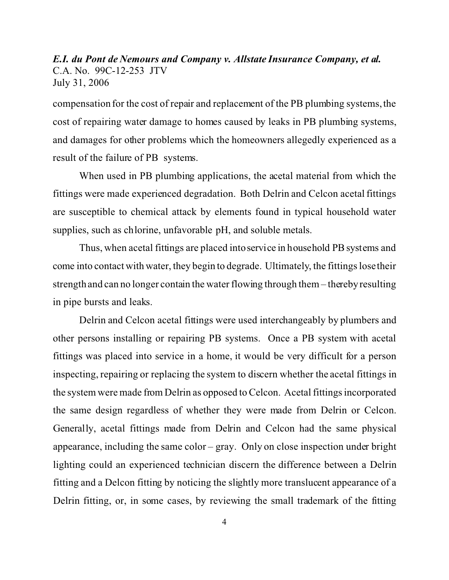compensation for the cost of repair and replacement of the PB plumbing systems, the cost of repairing water damage to homes caused by leaks in PB plumbing systems, and damages for other problems which the homeowners allegedly experienced as a result of the failure of PB systems.

When used in PB plumbing applications, the acetal material from which the fittings were made experienced degradation. Both Delrin and Celcon acetal fittings are susceptible to chemical attack by elements found in typical household water supplies, such as chlorine, unfavorable pH, and soluble metals.

Thus, when acetal fittings are placed into service in household PB systems and come into contact with water, they begin to degrade. Ultimately, the fittings lose their strength and can no longer contain the water flowing through them – thereby resulting in pipe bursts and leaks.

Delrin and Celcon acetal fittings were used interchangeably by plumbers and other persons installing or repairing PB systems. Once a PB system with acetal fittings was placed into service in a home, it would be very difficult for a person inspecting, repairing or replacing the system to discern whether the acetal fittings in the system were made from Delrin as opposed to Celcon. Acetal fittings incorporated the same design regardless of whether they were made from Delrin or Celcon. Generally, acetal fittings made from Delrin and Celcon had the same physical appearance, including the same color – gray. Only on close inspection under bright lighting could an experienced technician discern the difference between a Delrin fitting and a Delcon fitting by noticing the slightly more translucent appearance of a Delrin fitting, or, in some cases, by reviewing the small trademark of the fitting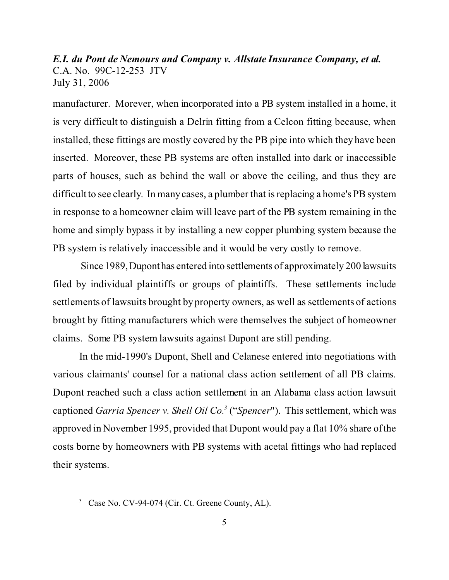manufacturer. Morever, when incorporated into a PB system installed in a home, it is very difficult to distinguish a Delrin fitting from a Celcon fitting because, when installed, these fittings are mostly covered by the PB pipe into which they have been inserted. Moreover, these PB systems are often installed into dark or inaccessible parts of houses, such as behind the wall or above the ceiling, and thus they are difficult to see clearly. In many cases, a plumber that is replacing a home's PB system in response to a homeowner claim will leave part of the PB system remaining in the home and simply bypass it by installing a new copper plumbing system because the PB system is relatively inaccessible and it would be very costly to remove.

Since 1989,Duponthas entered into settlements of approximately 200 lawsuits filed by individual plaintiffs or groups of plaintiffs. These settlements include settlements of lawsuits brought by property owners, as well as settlements of actions brought by fitting manufacturers which were themselves the subject of homeowner claims. Some PB system lawsuits against Dupont are still pending.

In the mid-1990's Dupont, Shell and Celanese entered into negotiations with various claimants' counsel for a national class action settlement of all PB claims. Dupont reached such a class action settlement in an Alabama class action lawsuit captioned *Garria Spencer v. Shell Oil Co.<sup>3</sup>* ("*Spencer*"). This settlement, which was approved in November 1995, provided that Dupont would pay a flat 10% share of the costs borne by homeowners with PB systems with acetal fittings who had replaced their systems.

<sup>&</sup>lt;sup>3</sup> Case No. CV-94-074 (Cir. Ct. Greene County, AL).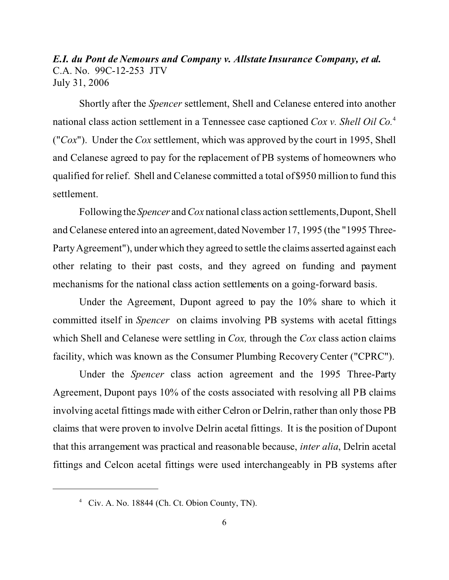Shortly after the *Spencer* settlement, Shell and Celanese entered into another national class action settlement in a Tennessee case captioned *Cox v. Shell Oil Co.*<sup>4</sup> ("*Cox*"). Under the *Cox* settlement, which was approved by the court in 1995, Shell and Celanese agreed to pay for the replacement of PB systems of homeowners who qualified for relief. Shell and Celanese committed a total of \$950 million to fund this settlement.

Followingthe *Spencer* and*Cox* national class action settlements, Dupont, Shell and Celanese entered into an agreement, dated November 17, 1995 (the "1995 Three-Party Agreement"), under which they agreed to settle the claims asserted against each other relating to their past costs, and they agreed on funding and payment mechanisms for the national class action settlements on a going-forward basis.

Under the Agreement, Dupont agreed to pay the 10% share to which it committed itself in *Spencer* on claims involving PB systems with acetal fittings which Shell and Celanese were settling in *Cox,* through the *Cox* class action claims facility, which was known as the Consumer Plumbing Recovery Center ("CPRC").

Under the *Spencer* class action agreement and the 1995 Three-Party Agreement, Dupont pays 10% of the costs associated with resolving all PB claims involving acetal fittings made with either Celron or Delrin, rather than only those PB claims that were proven to involve Delrin acetal fittings. It is the position of Dupont that this arrangement was practical and reasonable because, *inter alia*, Delrin acetal fittings and Celcon acetal fittings were used interchangeably in PB systems after

<sup>4</sup> Civ. A. No. 18844 (Ch. Ct. Obion County, TN).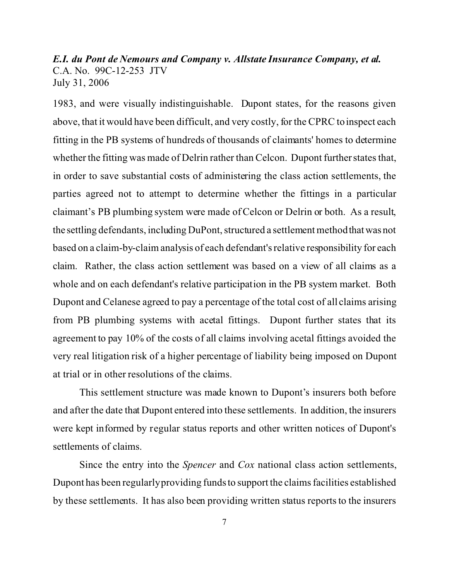1983, and were visually indistinguishable. Dupont states, for the reasons given above, that it would have been difficult, and very costly, for the CPRC to inspect each fitting in the PB systems of hundreds of thousands of claimants' homes to determine whether the fitting was made of Delrin rather than Celcon. Dupont further states that, in order to save substantial costs of administering the class action settlements, the parties agreed not to attempt to determine whether the fittings in a particular claimant's PB plumbing system were made of Celcon or Delrin or both. As a result, the settling defendants, including DuPont, structured a settlement method thatwas not based on a claim-by-claim analysis of each defendant's relative responsibility for each claim. Rather, the class action settlement was based on a view of all claims as a whole and on each defendant's relative participation in the PB system market. Both Dupont and Celanese agreed to pay a percentage of the total cost of all claims arising from PB plumbing systems with acetal fittings. Dupont further states that its agreement to pay 10% of the costs of all claims involving acetal fittings avoided the very real litigation risk of a higher percentage of liability being imposed on Dupont at trial or in other resolutions of the claims.

This settlement structure was made known to Dupont's insurers both before and after the date that Dupont entered into these settlements. In addition, the insurers were kept informed by regular status reports and other written notices of Dupont's settlements of claims.

Since the entry into the *Spencer* and *Cox* national class action settlements, Dupont has been regularly providing funds to support the claims facilities established by these settlements. It has also been providing written status reports to the insurers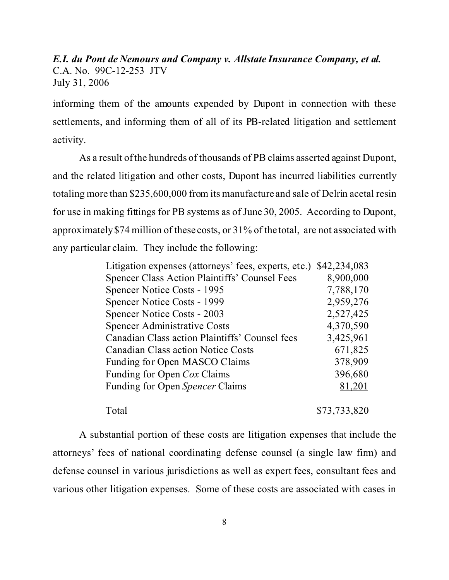informing them of the amounts expended by Dupont in connection with these settlements, and informing them of all of its PB-related litigation and settlement activity.

As a result of the hundreds of thousands of PB claims asserted against Dupont, and the related litigation and other costs, Dupont has incurred liabilities currently totaling more than \$235,600,000 from its manufacture and sale of Delrin acetal resin for use in making fittings for PB systems as of June 30, 2005. According to Dupont, approximately \$74 million of these costs, or 31% of the total, are not associated with any particular claim. They include the following:

| Litigation expenses (attorneys' fees, experts, etc.) | \$42,234,083 |
|------------------------------------------------------|--------------|
| <b>Spencer Class Action Plaintiffs' Counsel Fees</b> | 8,900,000    |
| Spencer Notice Costs - 1995                          | 7,788,170    |
| Spencer Notice Costs - 1999                          | 2,959,276    |
| Spencer Notice Costs - 2003                          | 2,527,425    |
| <b>Spencer Administrative Costs</b>                  | 4,370,590    |
| Canadian Class action Plaintiffs' Counsel fees       | 3,425,961    |
| <b>Canadian Class action Notice Costs</b>            | 671,825      |
| Funding for Open MASCO Claims                        | 378,909      |
| Funding for Open Cox Claims                          | 396,680      |
| Funding for Open Spencer Claims                      | 81,201       |
| Total                                                | \$73,733,820 |

A substantial portion of these costs are litigation expenses that include the attorneys' fees of national coordinating defense counsel (a single law firm) and defense counsel in various jurisdictions as well as expert fees, consultant fees and various other litigation expenses. Some of these costs are associated with cases in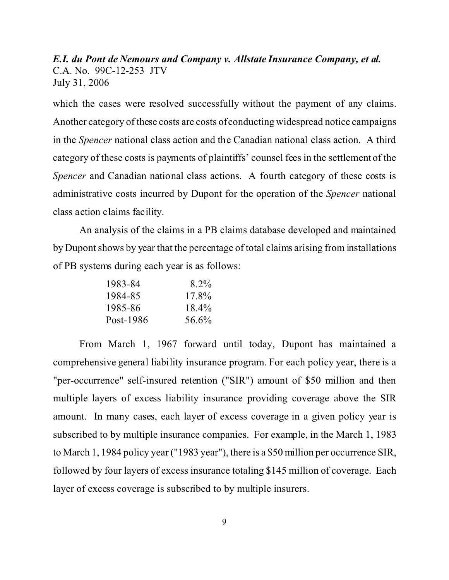which the cases were resolved successfully without the payment of any claims. Another category of these costs are costs of conducting widespread notice campaigns in the *Spencer* national class action and the Canadian national class action. A third category of these costs is payments of plaintiffs' counsel fees in the settlement of the *Spencer* and Canadian national class actions. A fourth category of these costs is administrative costs incurred by Dupont for the operation of the *Spencer* national class action claims facility.

An analysis of the claims in a PB claims database developed and maintained by Dupont shows by year that the percentage of total claims arising from installations of PB systems during each year is as follows:

| 1983-84   | $8.2\%$  |
|-----------|----------|
| 1984-85   | 17.8%    |
| 1985-86   | $18.4\%$ |
| Post-1986 | 56.6%    |

From March 1, 1967 forward until today, Dupont has maintained a comprehensive general liability insurance program. For each policy year, there is a "per-occurrence" self-insured retention ("SIR") amount of \$50 million and then multiple layers of excess liability insurance providing coverage above the SIR amount. In many cases, each layer of excess coverage in a given policy year is subscribed to by multiple insurance companies. For example, in the March 1, 1983 to March 1, 1984 policy year ("1983 year"), there is a \$50 million per occurrence SIR, followed by four layers of excess insurance totaling \$145 million of coverage. Each layer of excess coverage is subscribed to by multiple insurers.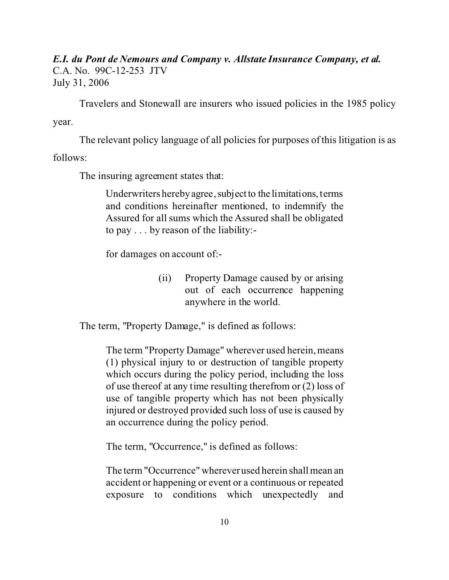Travelers and Stonewall are insurers who issued policies in the 1985 policy year.

The relevant policy language of all policies for purposes of this litigation is as

follows:

The insuring agreement states that:

Underwriters hereby agree, subject to the limitations, terms and conditions hereinafter mentioned, to indemnify the Assured for all sums which the Assured shall be obligated to pay . . . by reason of the liability:-

for damages on account of:-

(ii) Property Damage caused by or arising out of each occurrence happening anywhere in the world.

The term, "Property Damage," is defined as follows:

The term "Property Damage" wherever used herein, means (1) physical injury to or destruction of tangible property which occurs during the policy period, including the loss of use thereof at any time resulting therefrom or (2) loss of use of tangible property which has not been physically injured or destroyed provided such loss of use is caused by an occurrence during the policy period.

The term, "Occurrence," is defined as follows:

The term "Occurrence" wherever used herein shall mean an accident or happening or event or a continuous or repeated exposure to conditions which unexpectedly and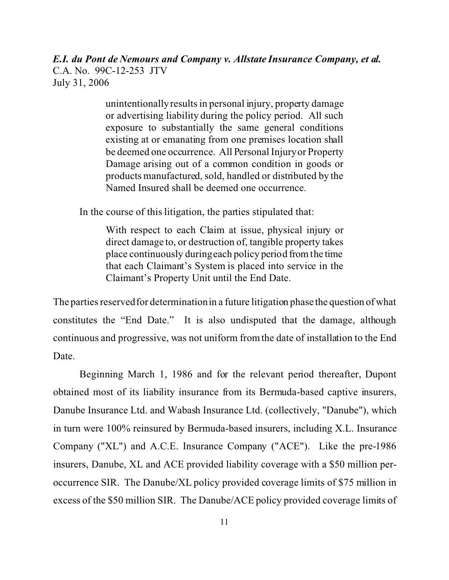> unintentionally results in personal injury, property damage or advertising liability during the policy period. All such exposure to substantially the same general conditions existing at or emanating from one premises location shall be deemed one occurrence. All Personal Injury or Property Damage arising out of a common condition in goods or products manufactured, sold, handled or distributed by the Named Insured shall be deemed one occurrence.

In the course of this litigation, the parties stipulated that:

With respect to each Claim at issue, physical injury or direct damage to, or destruction of, tangible property takes place continuously during each policy period from the time that each Claimant's System is placed into service in the Claimant's Property Unit until the End Date.

The parties reserved for determination in a future litigation phase the question of what constitutes the "End Date." It is also undisputed that the damage, although continuous and progressive, was not uniform from the date of installation to the End Date.

Beginning March 1, 1986 and for the relevant period thereafter, Dupont obtained most of its liability insurance from its Bermuda-based captive insurers, Danube Insurance Ltd. and Wabash Insurance Ltd. (collectively, "Danube"), which in turn were 100% reinsured by Bermuda-based insurers, including X.L. Insurance Company ("XL") and A.C.E. Insurance Company ("ACE"). Like the pre-1986 insurers, Danube, XL and ACE provided liability coverage with a \$50 million peroccurrence SIR. The Danube/XL policy provided coverage limits of \$75 million in excess of the \$50 million SIR. The Danube/ACE policy provided coverage limits of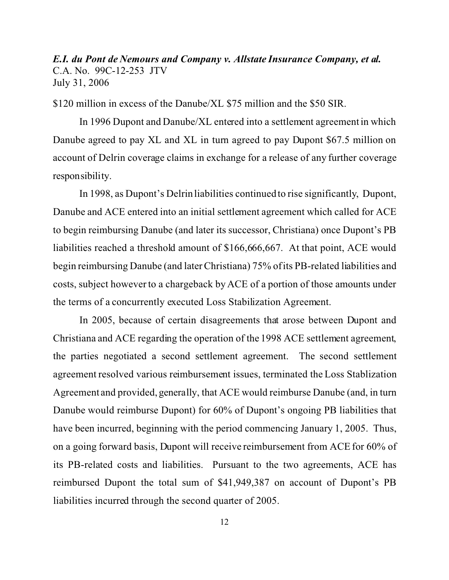\$120 million in excess of the Danube/XL \$75 million and the \$50 SIR.

In 1996 Dupont and Danube/XL entered into a settlement agreement in which Danube agreed to pay XL and XL in turn agreed to pay Dupont \$67.5 million on account of Delrin coverage claims in exchange for a release of any further coverage responsibility.

In 1998, as Dupont's Delrin liabilities continued to rise significantly, Dupont, Danube and ACE entered into an initial settlement agreement which called for ACE to begin reimbursing Danube (and later its successor, Christiana) once Dupont's PB liabilities reached a threshold amount of \$166,666,667. At that point, ACE would begin reimbursing Danube (and later Christiana) 75% of its PB-related liabilities and costs, subject however to a chargeback by ACE of a portion of those amounts under the terms of a concurrently executed Loss Stabilization Agreement.

In 2005, because of certain disagreements that arose between Dupont and Christiana and ACE regarding the operation of the 1998 ACE settlement agreement, the parties negotiated a second settlement agreement. The second settlement agreement resolved various reimbursement issues, terminated the Loss Stablization Agreement and provided, generally, that ACE would reimburse Danube (and, in turn Danube would reimburse Dupont) for 60% of Dupont's ongoing PB liabilities that have been incurred, beginning with the period commencing January 1, 2005. Thus, on a going forward basis, Dupont will receive reimbursement from ACE for 60% of its PB-related costs and liabilities. Pursuant to the two agreements, ACE has reimbursed Dupont the total sum of \$41,949,387 on account of Dupont's PB liabilities incurred through the second quarter of 2005.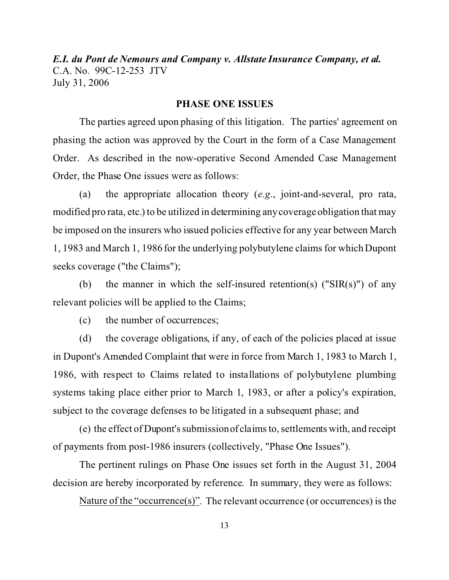#### **PHASE ONE ISSUES**

The parties agreed upon phasing of this litigation. The parties' agreement on phasing the action was approved by the Court in the form of a Case Management Order. As described in the now-operative Second Amended Case Management Order, the Phase One issues were as follows:

(a) the appropriate allocation theory (*e.g*., joint-and-several, pro rata, modified pro rata, etc.) to be utilized in determining any coverage obligation that may be imposed on the insurers who issued policies effective for any year between March 1, 1983 and March 1, 1986 for the underlying polybutylene claims for which Dupont seeks coverage ("the Claims");

(b) the manner in which the self-insured retention(s) (" $SIR(s)$ ") of any relevant policies will be applied to the Claims;

(c) the number of occurrences;

(d) the coverage obligations, if any, of each of the policies placed at issue in Dupont's Amended Complaint that were in force from March 1, 1983 to March 1, 1986, with respect to Claims related to installations of polybutylene plumbing systems taking place either prior to March 1, 1983, or after a policy's expiration, subject to the coverage defenses to be litigated in a subsequent phase; and

(e) the effect of Dupont's submission of claims to, settlements with, and receipt of payments from post-1986 insurers (collectively, "Phase One Issues").

The pertinent rulings on Phase One issues set forth in the August 31, 2004 decision are hereby incorporated by reference. In summary, they were as follows:

Nature of the "occurrence(s)". The relevant occurrence (or occurrences) is the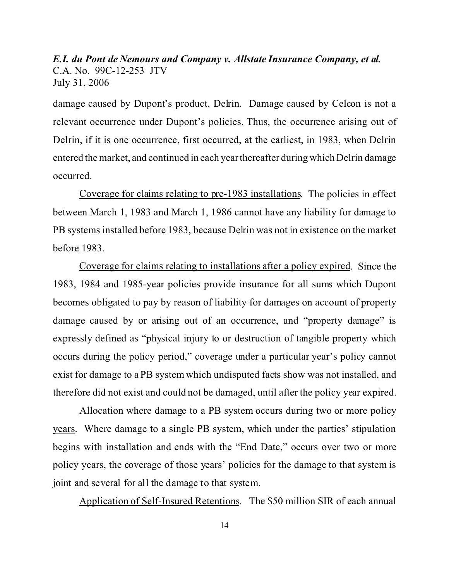damage caused by Dupont's product, Delrin. Damage caused by Celcon is not a relevant occurrence under Dupont's policies. Thus, the occurrence arising out of Delrin, if it is one occurrence, first occurred, at the earliest, in 1983, when Delrin entered the market, and continued in each year thereafter during which Delrin damage occurred.

Coverage for claims relating to pre-1983 installations. The policies in effect between March 1, 1983 and March 1, 1986 cannot have any liability for damage to PB systems installed before 1983, because Delrin was not in existence on the market before 1983.

Coverage for claims relating to installations after a policy expired. Since the 1983, 1984 and 1985-year policies provide insurance for all sums which Dupont becomes obligated to pay by reason of liability for damages on account of property damage caused by or arising out of an occurrence, and "property damage" is expressly defined as "physical injury to or destruction of tangible property which occurs during the policy period," coverage under a particular year's policy cannot exist for damage to a PB system which undisputed facts show was not installed, and therefore did not exist and could not be damaged, until after the policy year expired.

Allocation where damage to a PB system occurs during two or more policy years. Where damage to a single PB system, which under the parties' stipulation begins with installation and ends with the "End Date," occurs over two or more policy years, the coverage of those years' policies for the damage to that system is joint and several for all the damage to that system.

Application of Self-Insured Retentions. The \$50 million SIR of each annual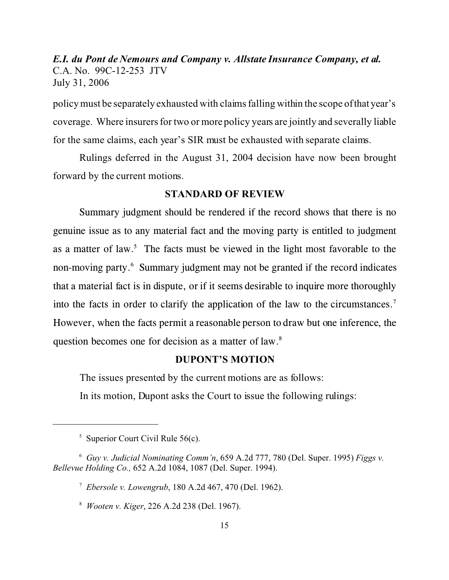policy must be separately exhausted with claims falling within the scope of that year's coverage. Where insurers for two or more policy years are jointly and severally liable for the same claims, each year's SIR must be exhausted with separate claims.

Rulings deferred in the August 31, 2004 decision have now been brought forward by the current motions.

#### **STANDARD OF REVIEW**

Summary judgment should be rendered if the record shows that there is no genuine issue as to any material fact and the moving party is entitled to judgment as a matter of law.<sup>5</sup> The facts must be viewed in the light most favorable to the non-moving party.<sup>6</sup> Summary judgment may not be granted if the record indicates that a material fact is in dispute, or if it seems desirable to inquire more thoroughly into the facts in order to clarify the application of the law to the circumstances.<sup>7</sup> However, when the facts permit a reasonable person to draw but one inference, the question becomes one for decision as a matter of law.<sup>8</sup>

## **DUPONT'S MOTION**

The issues presented by the current motions are as follows:

In its motion, Dupont asks the Court to issue the following rulings:

<sup>&</sup>lt;sup>5</sup> Superior Court Civil Rule 56(c).

<sup>6</sup> *Guy v. Judicial Nominating Comm'n*, 659 A.2d 777, 780 (Del. Super. 1995) *Figgs v. Bellevue Holding Co.,* 652 A.2d 1084, 1087 (Del. Super. 1994).

<sup>7</sup> *Ebersole v. Lowengrub*, 180 A.2d 467, 470 (Del. 1962).

<sup>8</sup> *Wooten v. Kiger*, 226 A.2d 238 (Del. 1967).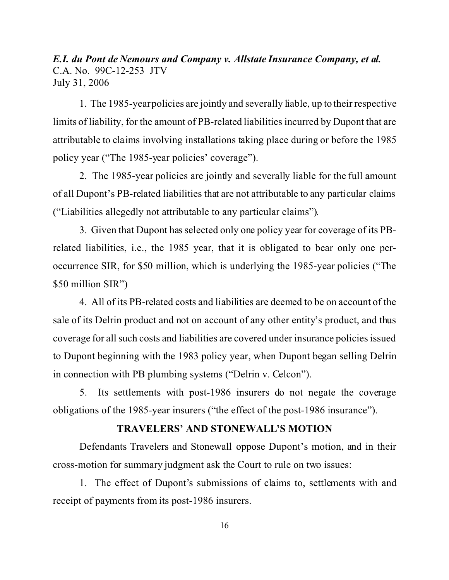1. The 1985-year policies are jointly and severally liable, up to their respective limits of liability, for the amount of PB-related liabilities incurred by Dupont that are attributable to claims involving installations taking place during or before the 1985 policy year ("The 1985-year policies' coverage").

2. The 1985-year policies are jointly and severally liable for the full amount of all Dupont's PB-related liabilities that are not attributable to any particular claims ("Liabilities allegedly not attributable to any particular claims").

3. Given that Dupont has selected only one policy year for coverage of its PBrelated liabilities, i.e., the 1985 year, that it is obligated to bear only one peroccurrence SIR, for \$50 million, which is underlying the 1985-year policies ("The \$50 million SIR")

4. All of its PB-related costs and liabilities are deemed to be on account of the sale of its Delrin product and not on account of any other entity's product, and thus coverage for all such costs and liabilities are covered under insurance policies issued to Dupont beginning with the 1983 policy year, when Dupont began selling Delrin in connection with PB plumbing systems ("Delrin v. Celcon").

5. Its settlements with post-1986 insurers do not negate the coverage obligations of the 1985-year insurers ("the effect of the post-1986 insurance").

## **TRAVELERS' AND STONEWALL'S MOTION**

Defendants Travelers and Stonewall oppose Dupont's motion, and in their cross-motion for summary judgment ask the Court to rule on two issues:

1. The effect of Dupont's submissions of claims to, settlements with and receipt of payments from its post-1986 insurers.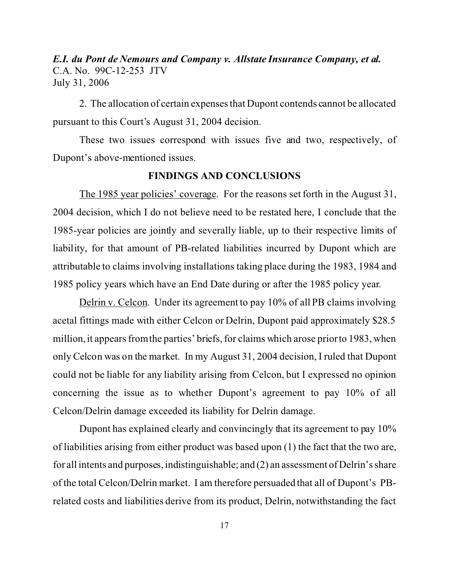2. The allocation of certain expenses that Dupont contends cannot be allocated pursuant to this Court's August 31, 2004 decision.

These two issues correspond with issues five and two, respectively, of Dupont's above-mentioned issues.

#### **FINDINGS AND CONCLUSIONS**

The 1985 year policies' coverage. For the reasons set forth in the August 31, 2004 decision, which I do not believe need to be restated here, I conclude that the 1985-year policies are jointly and severally liable, up to their respective limits of liability, for that amount of PB-related liabilities incurred by Dupont which are attributable to claims involving installations taking place during the 1983, 1984 and 1985 policy years which have an End Date during or after the 1985 policy year.

Delrin v. Celcon. Under its agreement to pay 10% of all PB claims involving acetal fittings made with either Celcon or Delrin, Dupont paid approximately \$28.5 million, it appears from the parties' briefs, for claims which arose prior to 1983, when only Celcon was on the market. In my August 31, 2004 decision, I ruled that Dupont could not be liable for any liability arising from Celcon, but I expressed no opinion concerning the issue as to whether Dupont's agreement to pay 10% of all Celcon/Delrin damage exceeded its liability for Delrin damage.

Dupont has explained clearly and convincingly that its agreement to pay 10% of liabilities arising from either product was based upon (1) the fact that the two are, for all intents and purposes, indistinguishable; and (2) an assessment of Delrin's share of the total Celcon/Delrin market. I am therefore persuaded that all of Dupont's PBrelated costs and liabilities derive from its product, Delrin, notwithstanding the fact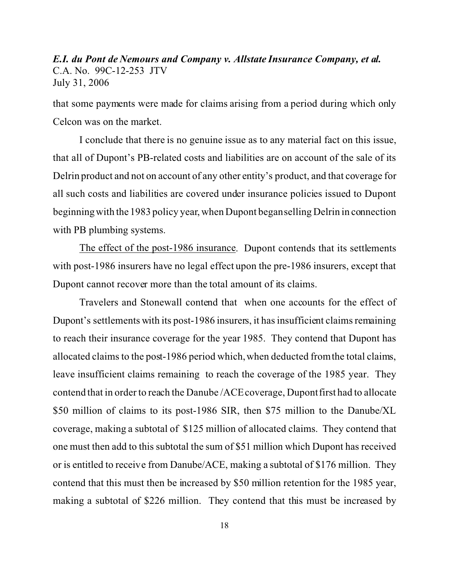that some payments were made for claims arising from a period during which only Celcon was on the market.

I conclude that there is no genuine issue as to any material fact on this issue, that all of Dupont's PB-related costs and liabilities are on account of the sale of its Delrin product and not on account of any other entity's product, and that coverage for all such costs and liabilities are covered under insurance policies issued to Dupont beginning with the 1983 policy year, when Dupont began selling Delrin in connection with PB plumbing systems.

The effect of the post-1986 insurance. Dupont contends that its settlements with post-1986 insurers have no legal effect upon the pre-1986 insurers, except that Dupont cannot recover more than the total amount of its claims.

Travelers and Stonewall contend that when one accounts for the effect of Dupont's settlements with its post-1986 insurers, it has insufficient claims remaining to reach their insurance coverage for the year 1985. They contend that Dupont has allocated claims to the post-1986 period which, when deducted from the total claims, leave insufficient claims remaining to reach the coverage of the 1985 year. They contend that in order to reach the Danube /ACE coverage, Dupont first had to allocate \$50 million of claims to its post-1986 SIR, then \$75 million to the Danube/XL coverage, making a subtotal of \$125 million of allocated claims. They contend that one must then add to this subtotal the sum of \$51 million which Dupont has received or is entitled to receive from Danube/ACE, making a subtotal of \$176 million. They contend that this must then be increased by \$50 million retention for the 1985 year, making a subtotal of \$226 million. They contend that this must be increased by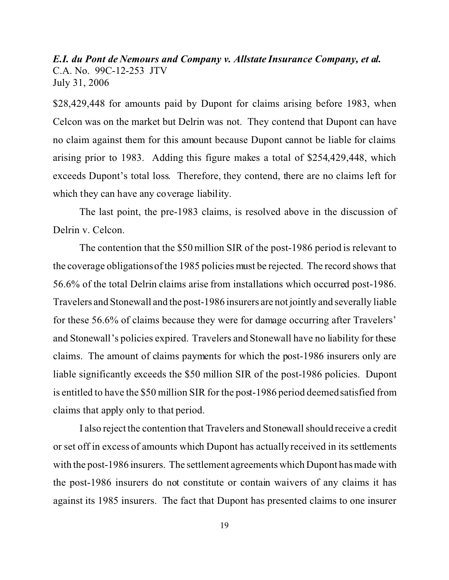\$28,429,448 for amounts paid by Dupont for claims arising before 1983, when Celcon was on the market but Delrin was not. They contend that Dupont can have no claim against them for this amount because Dupont cannot be liable for claims arising prior to 1983. Adding this figure makes a total of \$254,429,448, which exceeds Dupont's total loss. Therefore, they contend, there are no claims left for which they can have any coverage liability.

The last point, the pre-1983 claims, is resolved above in the discussion of Delrin v. Celcon.

The contention that the \$50 million SIR of the post-1986 period is relevant to the coverage obligations of the 1985 policies must be rejected. The record shows that 56.6% of the total Delrin claims arise from installations which occurred post-1986. Travelers and Stonewall and the post-1986 insurers are not jointly and severally liable for these 56.6% of claims because they were for damage occurring after Travelers' and Stonewall's policies expired. Travelers and Stonewall have no liability for these claims. The amount of claims payments for which the post-1986 insurers only are liable significantly exceeds the \$50 million SIR of the post-1986 policies. Dupont is entitled to have the \$50 million SIR for the post-1986 period deemed satisfied from claims that apply only to that period.

I also reject the contention that Travelers and Stonewall should receive a credit or set off in excess of amounts which Dupont has actually received in its settlements with the post-1986 insurers. The settlement agreements which Dupont has made with the post-1986 insurers do not constitute or contain waivers of any claims it has against its 1985 insurers. The fact that Dupont has presented claims to one insurer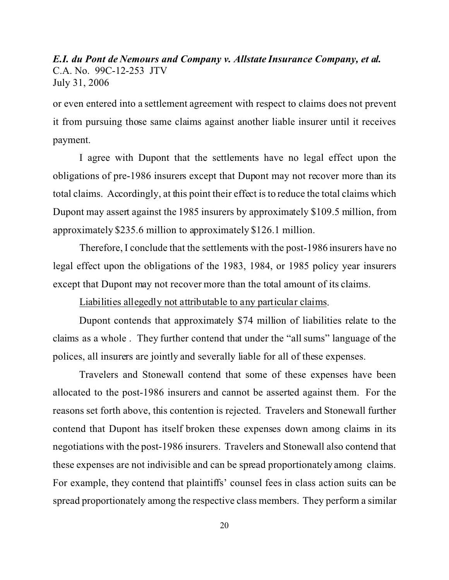or even entered into a settlement agreement with respect to claims does not prevent it from pursuing those same claims against another liable insurer until it receives payment.

I agree with Dupont that the settlements have no legal effect upon the obligations of pre-1986 insurers except that Dupont may not recover more than its total claims. Accordingly, at this point their effect is to reduce the total claims which Dupont may assert against the 1985 insurers by approximately \$109.5 million, from approximately \$235.6 million to approximately \$126.1 million.

Therefore, I conclude that the settlements with the post-1986 insurers have no legal effect upon the obligations of the 1983, 1984, or 1985 policy year insurers except that Dupont may not recover more than the total amount of its claims.

Liabilities allegedly not attributable to any particular claims.

Dupont contends that approximately \$74 million of liabilities relate to the claims as a whole . They further contend that under the "all sums" language of the polices, all insurers are jointly and severally liable for all of these expenses.

Travelers and Stonewall contend that some of these expenses have been allocated to the post-1986 insurers and cannot be asserted against them. For the reasons set forth above, this contention is rejected. Travelers and Stonewall further contend that Dupont has itself broken these expenses down among claims in its negotiations with the post-1986 insurers. Travelers and Stonewall also contend that these expenses are not indivisible and can be spread proportionately among claims. For example, they contend that plaintiffs' counsel fees in class action suits can be spread proportionately among the respective class members. They perform a similar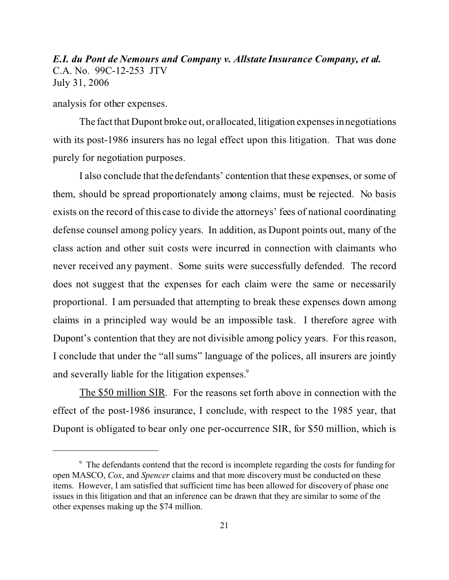analysis for other expenses.

The fact that Dupont broke out, or allocated, litigation expenses in negotiations with its post-1986 insurers has no legal effect upon this litigation. That was done purely for negotiation purposes.

I also conclude that the defendants' contention that these expenses, or some of them, should be spread proportionately among claims, must be rejected. No basis exists on the record of this case to divide the attorneys' fees of national coordinating defense counsel among policy years. In addition, as Dupont points out, many of the class action and other suit costs were incurred in connection with claimants who never received any payment. Some suits were successfully defended. The record does not suggest that the expenses for each claim were the same or necessarily proportional. I am persuaded that attempting to break these expenses down among claims in a principled way would be an impossible task. I therefore agree with Dupont's contention that they are not divisible among policy years. For this reason, I conclude that under the "all sums" language of the polices, all insurers are jointly and severally liable for the litigation expenses.<sup>9</sup>

The \$50 million SIR. For the reasons set forth above in connection with the effect of the post-1986 insurance, I conclude, with respect to the 1985 year, that Dupont is obligated to bear only one per-occurrence SIR, for \$50 million, which is

<sup>&</sup>lt;sup>9</sup> The defendants contend that the record is incomplete regarding the costs for funding for open MASCO, *Cox*, and *Spencer* claims and that more discovery must be conducted on these items. However, I am satisfied that sufficient time has been allowed for discovery of phase one issues in this litigation and that an inference can be drawn that they are similar to some of the other expenses making up the \$74 million.